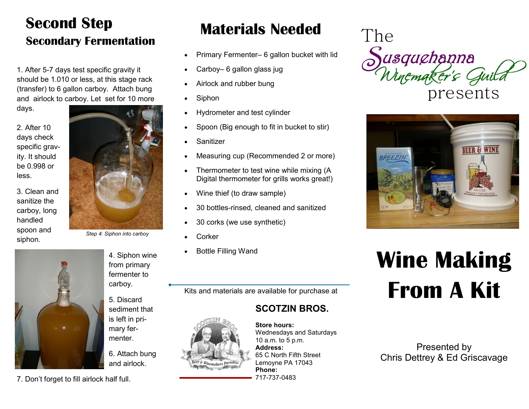#### **Materials Needed Second Step Secondary Fermentation**

1. After 5-7 days test specific gravity it should be 1.010 or less, at this stage rack (transfer) to 6 gallon carboy. Attach bung and airlock to carboy. Let set for 10 more

days.

2. After 10 days check specific gravity. It should be 0.998 or less.

3. Clean and sanitize the carboy, long handled spoon and siphon.



*Step 4: Siphon into carboy*



4. Siphon wine from primary fermenter to carboy.

5. Discard sediment that is left in primary fermenter.

6. Attach bung and airlock.

7. Don't forget to fill airlock half full.

- Primary Fermenter– 6 gallon bucket with lid
- Carboy– 6 gallon glass jug
- Airlock and rubber bung
- Siphon
- Hydrometer and test cylinder
- Spoon (Big enough to fit in bucket to stir)
- Sanitizer
- Measuring cup (Recommended 2 or more)
- Thermometer to test wine while mixing (A Digital thermometer for grills works great!)
- Wine thief (to draw sample)
- 30 bottles-rinsed, cleaned and sanitized
- 30 corks (we use synthetic)
- **Corker**
- Bottle Filling Wand

Kits and materials are available for purchase at

#### **SCOTZIN BROS.**

#### **Store hours:**



Wednesdays and Saturdays 10 a.m. to 5 p.m. **Address:** 65 C North Fifth Street Lemoyne PA 17043 **Phone:** 717-737-0483





# **Wine Making From A Kit**

Presented by Chris Dettrey & Ed Griscavage